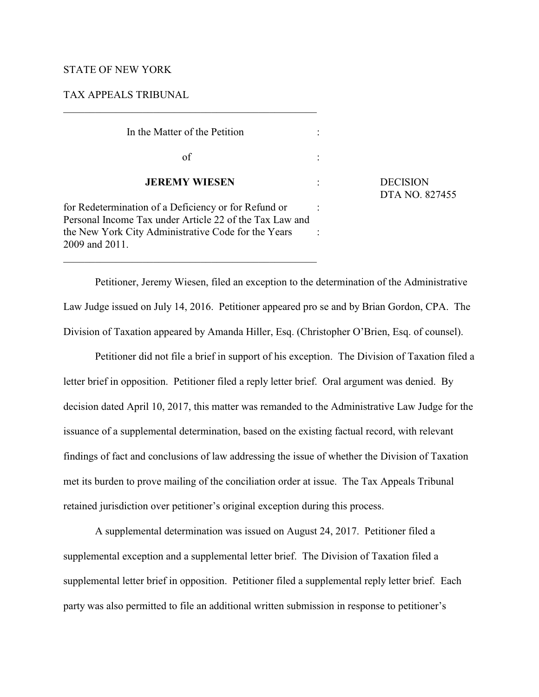## STATE OF NEW YORK

# TAX APPEALS TRIBUNAL

In the Matter of the Petition :  $\sigma$   $\mathbf{f}$  : **JEREMY WIESEN** : DECISION for Redetermination of a Deficiency or for Refund or : Personal Income Tax under Article 22 of the Tax Law and the New York City Administrative Code for the Years : 2009 and 2011.

DTA NO. 827455

Petitioner, Jeremy Wiesen, filed an exception to the determination of the Administrative Law Judge issued on July 14, 2016. Petitioner appeared pro se and by Brian Gordon, CPA. The Division of Taxation appeared by Amanda Hiller, Esq. (Christopher O'Brien, Esq. of counsel).

Petitioner did not file a brief in support of his exception. The Division of Taxation filed a letter brief in opposition. Petitioner filed a reply letter brief. Oral argument was denied. By decision dated April 10, 2017, this matter was remanded to the Administrative Law Judge for the issuance of a supplemental determination, based on the existing factual record, with relevant findings of fact and conclusions of law addressing the issue of whether the Division of Taxation met its burden to prove mailing of the conciliation order at issue. The Tax Appeals Tribunal retained jurisdiction over petitioner's original exception during this process.

A supplemental determination was issued on August 24, 2017. Petitioner filed a supplemental exception and a supplemental letter brief. The Division of Taxation filed a supplemental letter brief in opposition. Petitioner filed a supplemental reply letter brief. Each party was also permitted to file an additional written submission in response to petitioner's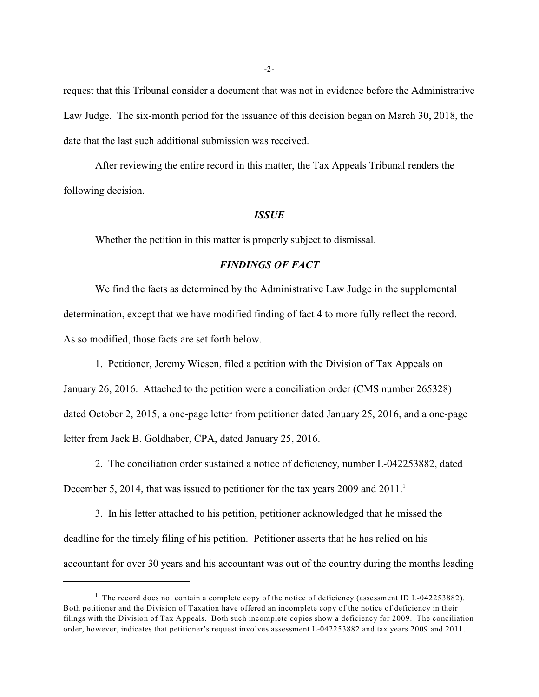request that this Tribunal consider a document that was not in evidence before the Administrative Law Judge. The six-month period for the issuance of this decision began on March 30, 2018, the date that the last such additional submission was received.

After reviewing the entire record in this matter, the Tax Appeals Tribunal renders the following decision.

#### *ISSUE*

Whether the petition in this matter is properly subject to dismissal.

# *FINDINGS OF FACT*

We find the facts as determined by the Administrative Law Judge in the supplemental determination, except that we have modified finding of fact 4 to more fully reflect the record. As so modified, those facts are set forth below.

1. Petitioner, Jeremy Wiesen, filed a petition with the Division of Tax Appeals on

January 26, 2016. Attached to the petition were a conciliation order (CMS number 265328) dated October 2, 2015, a one-page letter from petitioner dated January 25, 2016, and a one-page letter from Jack B. Goldhaber, CPA, dated January 25, 2016.

2. The conciliation order sustained a notice of deficiency, number L-042253882, dated December 5, 2014, that was issued to petitioner for the tax years 2009 and  $2011$ .<sup>1</sup>

3. In his letter attached to his petition, petitioner acknowledged that he missed the deadline for the timely filing of his petition. Petitioner asserts that he has relied on his accountant for over 30 years and his accountant was out of the country during the months leading

 $1$  The record does not contain a complete copy of the notice of deficiency (assessment ID L-042253882). Both petitioner and the Division of Taxation have offered an incomplete copy of the notice of deficiency in their filings with the Division of Tax Appeals. Both such incomplete copies show a deficiency for 2009. The conciliation order, however, indicates that petitioner's request involves assessment L-042253882 and tax years 2009 and 2011.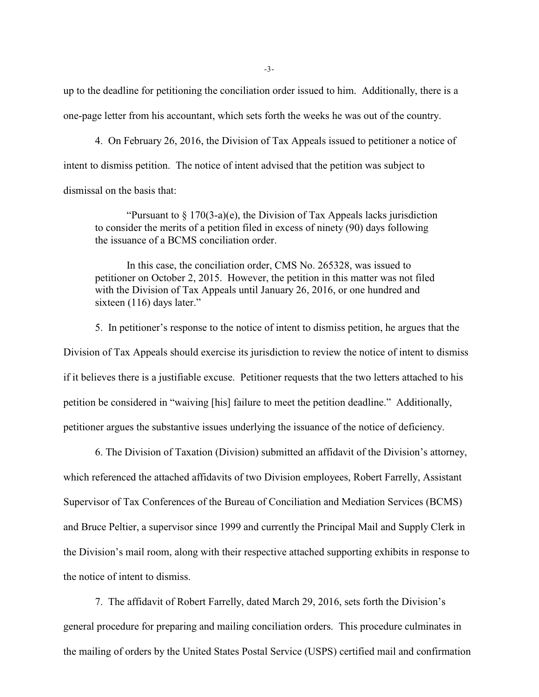up to the deadline for petitioning the conciliation order issued to him. Additionally, there is a one-page letter from his accountant, which sets forth the weeks he was out of the country.

4. On February 26, 2016, the Division of Tax Appeals issued to petitioner a notice of intent to dismiss petition. The notice of intent advised that the petition was subject to dismissal on the basis that:

"Pursuant to  $\S 170(3-a)(e)$ , the Division of Tax Appeals lacks jurisdiction to consider the merits of a petition filed in excess of ninety (90) days following the issuance of a BCMS conciliation order.

In this case, the conciliation order, CMS No. 265328, was issued to petitioner on October 2, 2015. However, the petition in this matter was not filed with the Division of Tax Appeals until January 26, 2016, or one hundred and sixteen (116) days later."

5. In petitioner's response to the notice of intent to dismiss petition, he argues that the Division of Tax Appeals should exercise its jurisdiction to review the notice of intent to dismiss if it believes there is a justifiable excuse. Petitioner requests that the two letters attached to his petition be considered in "waiving [his] failure to meet the petition deadline." Additionally, petitioner argues the substantive issues underlying the issuance of the notice of deficiency.

6. The Division of Taxation (Division) submitted an affidavit of the Division's attorney, which referenced the attached affidavits of two Division employees, Robert Farrelly, Assistant Supervisor of Tax Conferences of the Bureau of Conciliation and Mediation Services (BCMS) and Bruce Peltier, a supervisor since 1999 and currently the Principal Mail and Supply Clerk in the Division's mail room, along with their respective attached supporting exhibits in response to the notice of intent to dismiss.

7. The affidavit of Robert Farrelly, dated March 29, 2016, sets forth the Division's general procedure for preparing and mailing conciliation orders. This procedure culminates in the mailing of orders by the United States Postal Service (USPS) certified mail and confirmation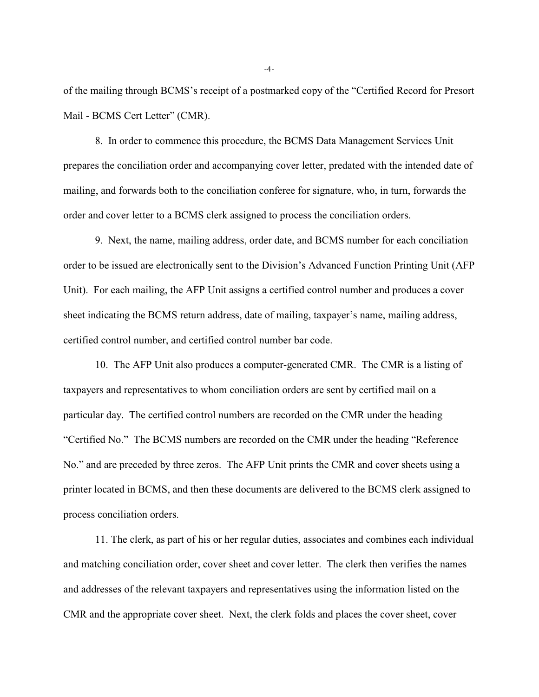of the mailing through BCMS's receipt of a postmarked copy of the "Certified Record for Presort Mail - BCMS Cert Letter" (CMR).

8. In order to commence this procedure, the BCMS Data Management Services Unit prepares the conciliation order and accompanying cover letter, predated with the intended date of mailing, and forwards both to the conciliation conferee for signature, who, in turn, forwards the order and cover letter to a BCMS clerk assigned to process the conciliation orders.

9. Next, the name, mailing address, order date, and BCMS number for each conciliation order to be issued are electronically sent to the Division's Advanced Function Printing Unit (AFP Unit). For each mailing, the AFP Unit assigns a certified control number and produces a cover sheet indicating the BCMS return address, date of mailing, taxpayer's name, mailing address, certified control number, and certified control number bar code.

10. The AFP Unit also produces a computer-generated CMR. The CMR is a listing of taxpayers and representatives to whom conciliation orders are sent by certified mail on a particular day. The certified control numbers are recorded on the CMR under the heading "Certified No." The BCMS numbers are recorded on the CMR under the heading "Reference No." and are preceded by three zeros. The AFP Unit prints the CMR and cover sheets using a printer located in BCMS, and then these documents are delivered to the BCMS clerk assigned to process conciliation orders.

11. The clerk, as part of his or her regular duties, associates and combines each individual and matching conciliation order, cover sheet and cover letter. The clerk then verifies the names and addresses of the relevant taxpayers and representatives using the information listed on the CMR and the appropriate cover sheet. Next, the clerk folds and places the cover sheet, cover

-4-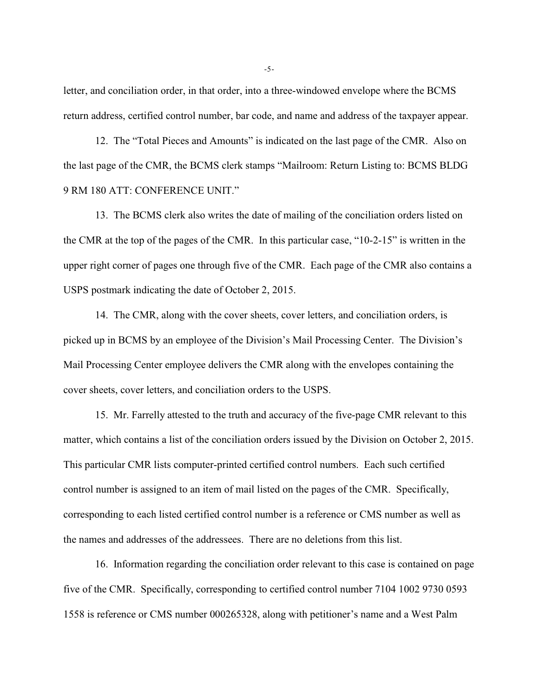letter, and conciliation order, in that order, into a three-windowed envelope where the BCMS return address, certified control number, bar code, and name and address of the taxpayer appear.

12. The "Total Pieces and Amounts" is indicated on the last page of the CMR. Also on the last page of the CMR, the BCMS clerk stamps "Mailroom: Return Listing to: BCMS BLDG 9 RM 180 ATT: CONFERENCE UNIT."

13. The BCMS clerk also writes the date of mailing of the conciliation orders listed on the CMR at the top of the pages of the CMR. In this particular case, "10-2-15" is written in the upper right corner of pages one through five of the CMR. Each page of the CMR also contains a USPS postmark indicating the date of October 2, 2015.

14. The CMR, along with the cover sheets, cover letters, and conciliation orders, is picked up in BCMS by an employee of the Division's Mail Processing Center. The Division's Mail Processing Center employee delivers the CMR along with the envelopes containing the cover sheets, cover letters, and conciliation orders to the USPS.

15. Mr. Farrelly attested to the truth and accuracy of the five-page CMR relevant to this matter, which contains a list of the conciliation orders issued by the Division on October 2, 2015. This particular CMR lists computer-printed certified control numbers. Each such certified control number is assigned to an item of mail listed on the pages of the CMR. Specifically, corresponding to each listed certified control number is a reference or CMS number as well as the names and addresses of the addressees. There are no deletions from this list.

16. Information regarding the conciliation order relevant to this case is contained on page five of the CMR. Specifically, corresponding to certified control number 7104 1002 9730 0593 1558 is reference or CMS number 000265328, along with petitioner's name and a West Palm

-5-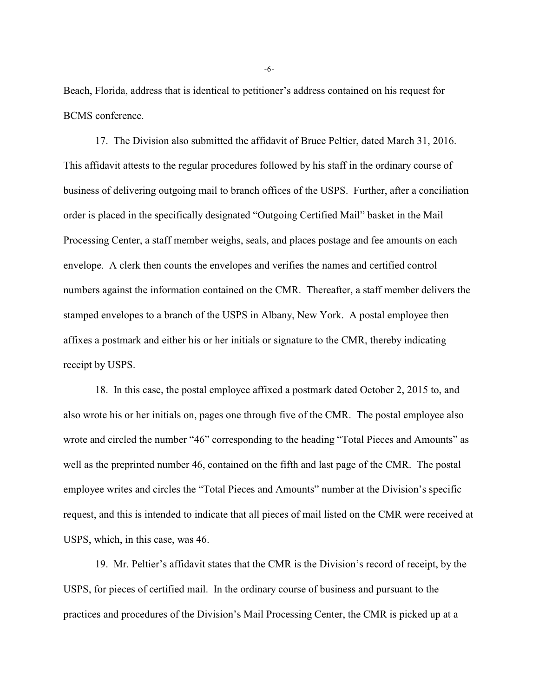Beach, Florida, address that is identical to petitioner's address contained on his request for BCMS conference.

17. The Division also submitted the affidavit of Bruce Peltier, dated March 31, 2016. This affidavit attests to the regular procedures followed by his staff in the ordinary course of business of delivering outgoing mail to branch offices of the USPS. Further, after a conciliation order is placed in the specifically designated "Outgoing Certified Mail" basket in the Mail Processing Center, a staff member weighs, seals, and places postage and fee amounts on each envelope. A clerk then counts the envelopes and verifies the names and certified control numbers against the information contained on the CMR. Thereafter, a staff member delivers the stamped envelopes to a branch of the USPS in Albany, New York. A postal employee then affixes a postmark and either his or her initials or signature to the CMR, thereby indicating receipt by USPS.

18. In this case, the postal employee affixed a postmark dated October 2, 2015 to, and also wrote his or her initials on, pages one through five of the CMR. The postal employee also wrote and circled the number "46" corresponding to the heading "Total Pieces and Amounts" as well as the preprinted number 46, contained on the fifth and last page of the CMR. The postal employee writes and circles the "Total Pieces and Amounts" number at the Division's specific request, and this is intended to indicate that all pieces of mail listed on the CMR were received at USPS, which, in this case, was 46.

19. Mr. Peltier's affidavit states that the CMR is the Division's record of receipt, by the USPS, for pieces of certified mail. In the ordinary course of business and pursuant to the practices and procedures of the Division's Mail Processing Center, the CMR is picked up at a

-6-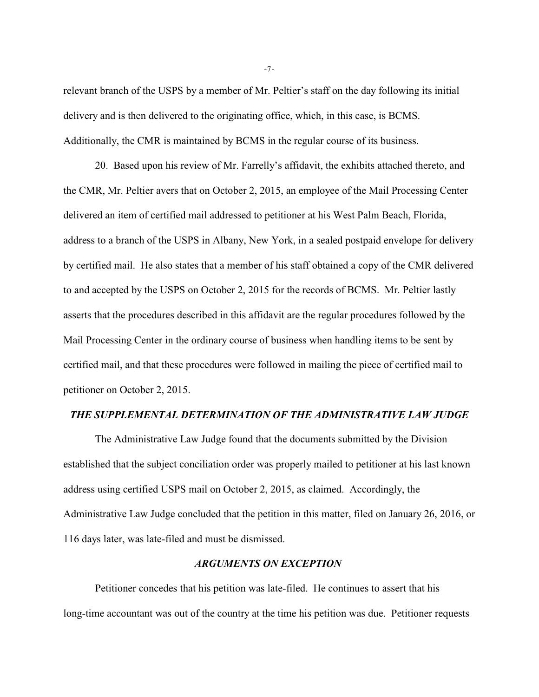relevant branch of the USPS by a member of Mr. Peltier's staff on the day following its initial delivery and is then delivered to the originating office, which, in this case, is BCMS. Additionally, the CMR is maintained by BCMS in the regular course of its business.

20. Based upon his review of Mr. Farrelly's affidavit, the exhibits attached thereto, and the CMR, Mr. Peltier avers that on October 2, 2015, an employee of the Mail Processing Center delivered an item of certified mail addressed to petitioner at his West Palm Beach, Florida, address to a branch of the USPS in Albany, New York, in a sealed postpaid envelope for delivery by certified mail. He also states that a member of his staff obtained a copy of the CMR delivered to and accepted by the USPS on October 2, 2015 for the records of BCMS. Mr. Peltier lastly asserts that the procedures described in this affidavit are the regular procedures followed by the Mail Processing Center in the ordinary course of business when handling items to be sent by certified mail, and that these procedures were followed in mailing the piece of certified mail to petitioner on October 2, 2015.

### *THE SUPPLEMENTAL DETERMINATION OF THE ADMINISTRATIVE LAW JUDGE*

The Administrative Law Judge found that the documents submitted by the Division established that the subject conciliation order was properly mailed to petitioner at his last known address using certified USPS mail on October 2, 2015, as claimed. Accordingly, the Administrative Law Judge concluded that the petition in this matter, filed on January 26, 2016, or 116 days later, was late-filed and must be dismissed.

## *ARGUMENTS ON EXCEPTION*

Petitioner concedes that his petition was late-filed. He continues to assert that his long-time accountant was out of the country at the time his petition was due. Petitioner requests

-7-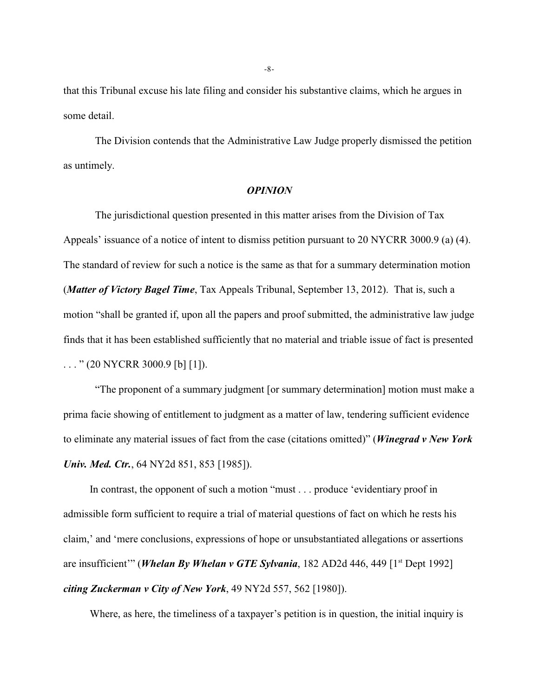that this Tribunal excuse his late filing and consider his substantive claims, which he argues in some detail.

The Division contends that the Administrative Law Judge properly dismissed the petition as untimely.

#### *OPINION*

 The jurisdictional question presented in this matter arises from the Division of Tax Appeals' issuance of a notice of intent to dismiss petition pursuant to 20 NYCRR 3000.9 (a) (4). The standard of review for such a notice is the same as that for a summary determination motion (*Matter of Victory Bagel Time*, Tax Appeals Tribunal, September 13, 2012). That is, such a motion "shall be granted if, upon all the papers and proof submitted, the administrative law judge finds that it has been established sufficiently that no material and triable issue of fact is presented  $\ldots$  " (20 NYCRR 3000.9 [b] [1]).

"The proponent of a summary judgment [or summary determination] motion must make a prima facie showing of entitlement to judgment as a matter of law, tendering sufficient evidence to eliminate any material issues of fact from the case (citations omitted)" (*Winegrad v New York Univ. Med. Ctr.*, 64 NY2d 851, 853 [1985]).

In contrast, the opponent of such a motion "must . . . produce 'evidentiary proof in admissible form sufficient to require a trial of material questions of fact on which he rests his claim,' and 'mere conclusions, expressions of hope or unsubstantiated allegations or assertions are insufficient"" (*Whelan By Whelan v GTE Sylvania*, 182 AD2d 446, 449 [1<sup>st</sup> Dept 1992] *citing Zuckerman v City of New York*, 49 NY2d 557, 562 [1980]).

Where, as here, the timeliness of a taxpayer's petition is in question, the initial inquiry is

-8-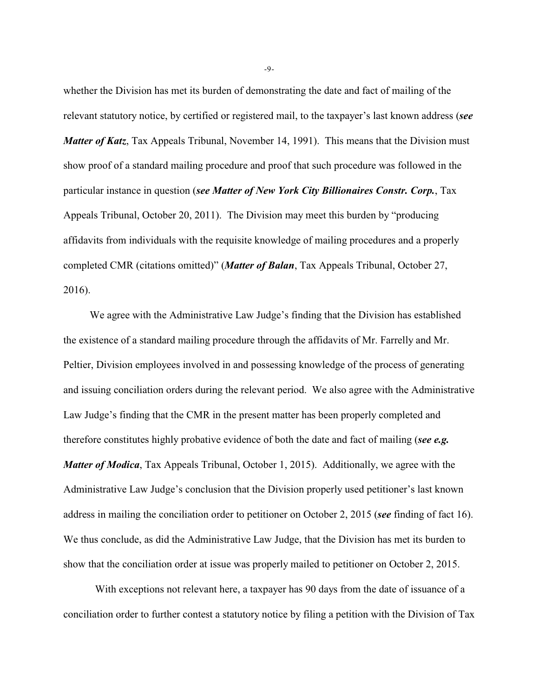whether the Division has met its burden of demonstrating the date and fact of mailing of the relevant statutory notice, by certified or registered mail, to the taxpayer's last known address (*see Matter of Katz*, Tax Appeals Tribunal, November 14, 1991). This means that the Division must show proof of a standard mailing procedure and proof that such procedure was followed in the particular instance in question (*see Matter of New York City Billionaires Constr. Corp.*, Tax Appeals Tribunal, October 20, 2011). The Division may meet this burden by "producing affidavits from individuals with the requisite knowledge of mailing procedures and a properly completed CMR (citations omitted)" (*Matter of Balan*, Tax Appeals Tribunal, October 27, 2016).

We agree with the Administrative Law Judge's finding that the Division has established the existence of a standard mailing procedure through the affidavits of Mr. Farrelly and Mr. Peltier, Division employees involved in and possessing knowledge of the process of generating and issuing conciliation orders during the relevant period. We also agree with the Administrative Law Judge's finding that the CMR in the present matter has been properly completed and therefore constitutes highly probative evidence of both the date and fact of mailing (*see e.g. Matter of Modica*, Tax Appeals Tribunal, October 1, 2015). Additionally, we agree with the Administrative Law Judge's conclusion that the Division properly used petitioner's last known address in mailing the conciliation order to petitioner on October 2, 2015 (*see* finding of fact 16). We thus conclude, as did the Administrative Law Judge, that the Division has met its burden to show that the conciliation order at issue was properly mailed to petitioner on October 2, 2015.

 With exceptions not relevant here, a taxpayer has 90 days from the date of issuance of a conciliation order to further contest a statutory notice by filing a petition with the Division of Tax

-9-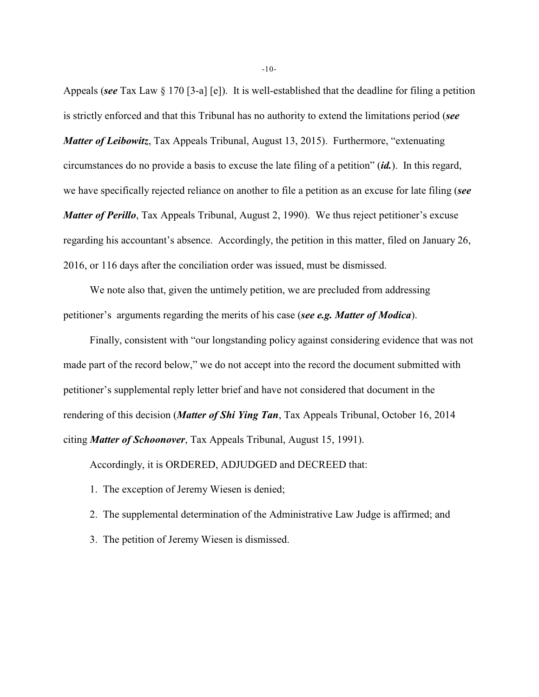Appeals (*see* Tax Law § 170 [3-a] [e]). It is well-established that the deadline for filing a petition is strictly enforced and that this Tribunal has no authority to extend the limitations period (*see Matter of Leibowitz*, Tax Appeals Tribunal, August 13, 2015). Furthermore, "extenuating circumstances do no provide a basis to excuse the late filing of a petition" (*id.*). In this regard, we have specifically rejected reliance on another to file a petition as an excuse for late filing (*see Matter of Perillo*, Tax Appeals Tribunal, August 2, 1990). We thus reject petitioner's excuse regarding his accountant's absence. Accordingly, the petition in this matter, filed on January 26, 2016, or 116 days after the conciliation order was issued, must be dismissed.

We note also that, given the untimely petition, we are precluded from addressing petitioner's arguments regarding the merits of his case (*see e.g. Matter of Modica*).

Finally, consistent with "our longstanding policy against considering evidence that was not made part of the record below," we do not accept into the record the document submitted with petitioner's supplemental reply letter brief and have not considered that document in the rendering of this decision (*Matter of Shi Ying Tan*, Tax Appeals Tribunal, October 16, 2014 citing *Matter of Schoonover*, Tax Appeals Tribunal, August 15, 1991).

Accordingly, it is ORDERED, ADJUDGED and DECREED that:

- 1. The exception of Jeremy Wiesen is denied;
- 2. The supplemental determination of the Administrative Law Judge is affirmed; and
- 3. The petition of Jeremy Wiesen is dismissed.